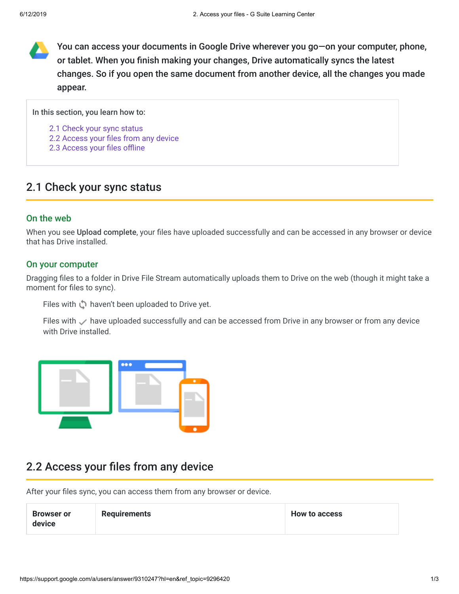You can access your documents in Google Drive wherever you go—on your computer, phone, or tablet. When you finish making your changes, Drive automatically syncs the latest changes. So if you open the same document from another device, all the changes you made appear.

In this section, you learn how to:

- [2.1 Check your sync status](https://support.google.com/a/users/answer/9310247?hl=en&ref_topic=9296420#2.1)
- [2.2 Access your files from any device](https://support.google.com/a/users/answer/9310247?hl=en&ref_topic=9296420#2.2)
- [2.3 Access your files offline](https://support.google.com/a/users/answer/9310247?hl=en&ref_topic=9296420#2.3)

# 2.1 Check your sync status

### On the web

When you see Upload complete, your files have uploaded successfully and can be accessed in any browser or device that has Drive installed.

#### On your computer

Dragging files to a folder in Drive File Stream automatically uploads them to Drive on the web (though it might take a moment for files to sync).

Files with  $\bigcirc$  haven't been uploaded to Drive yet.

Files with  $\vee$  have uploaded successfully and can be accessed from Drive in any browser or from any device with Drive installed.



## 2.2 Access your files from any device

After your files sync, you can access them from any browser or device.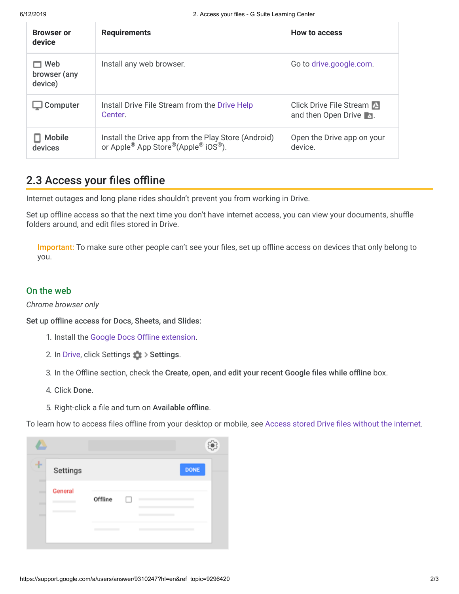| <b>Browser or</b><br>device    | <b>Requirements</b>                                                                       | <b>How to access</b>                           |
|--------------------------------|-------------------------------------------------------------------------------------------|------------------------------------------------|
| Web<br>browser (any<br>device) | Install any web browser.                                                                  | Go to drive.google.com.                        |
| Computer                       | Install Drive File Stream from the Drive Help<br>Center.                                  | Click Drive File Stream<br>and then Open Drive |
| <b>Mobile</b><br>devices       | Install the Drive app from the Play Store (Android)<br>or Apple® App Store®(Apple® iOS®). | Open the Drive app on your<br>device.          |

# 2.3 Access your files offline

Internet outages and long plane rides shouldn't prevent you from working in Drive.

Set up offline access so that the next time you don't have internet access, you can view your documents, shuffle folders around, and edit files stored in Drive.

Important: To make sure other people can't see your files, set up offline access on devices that only belong to you.

## On the web

*Chrome browser only*

Set up offline access for Docs, Sheets, and Slides:

- 1. Install the [Google Docs Offline extension.](https://chrome.google.com/webstore/detail/google-docs-offline/ghbmnnjooekpmoecnnnilnnbdlolhkhi)
- 2. In [Drive](https://drive.google.com/), click Settings  $\frac{1}{2}$  > Settings.
- 3. In the Offline section, check the Create, open, and edit your recent Google files while offline box.
- 4. Click Done.
- 5. Right-click a file and turn on Available offline.

To learn how to access files offline from your desktop or mobile, see [Access stored Drive files without the internet.](https://support.google.com/a/users/answer/9308619?ref_topic=9326428)

| ٠      | Settings |         |  | <b>DONE</b> |  |
|--------|----------|---------|--|-------------|--|
| ۰<br>- | General  | Offline |  |             |  |